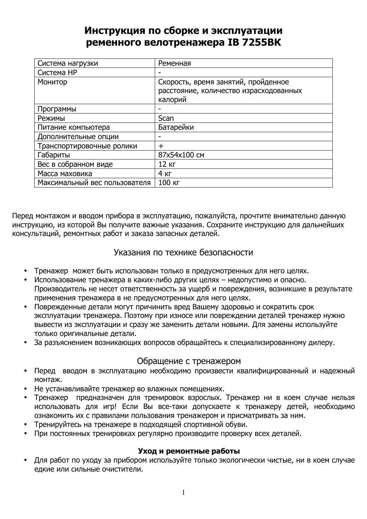# Инструкция по сборке и эксплуатации ременного велотренажера IB 7255BK

| Система нагрузки              | Ременная                               |
|-------------------------------|----------------------------------------|
| Система НР                    |                                        |
| Монитор                       | Скорость, время занятий, пройденное    |
|                               | расстояние, количество израсходованных |
|                               | калорий                                |
| Программы                     |                                        |
| Режимы                        | Scan                                   |
| Питание компьютера            | Батарейки                              |
| Дополнительные опции          |                                        |
| Транспортировочные ролики     | $\div$                                 |
| Габариты                      | 87x54x100 CM                           |
| Вес в собранном виде          | 12 KF                                  |
| Масса маховика                | 4 <sub>KT</sub>                        |
| Максимальный вес пользователя | 100 кг                                 |

Перед монтажом и вводом прибора в эксплуатацию, пожалуйста, прочтите внимательно данную инструкцию, из которой Вы получите важные указания. Сохраните инструкцию для дальнейших консультаций, ремонтных работ и заказа запасных деталей.

## Указания по технике безопасности

- Тренажер может быть использован только в предусмотренных для него целях.
- Использование тренажера в каких-либо других целях недопустимо и опасно. Производитель не несет ответственность за ущерб и повреждения, возникшие в результате применения тренажера в не предусмотренных для него целях.
- Поврежденные детали могут причинить вред Вашему здоровью и сократить срок эксплуатации тренажера. Поэтому при износе или повреждении деталей тренажер нужно вывести из эксплуатации и сразу же заменить детали новыми. Для замены используйте только оригинальные детали.
- За разъяснением возникающих вопросов обращайтесь к специализированному дилеру.

## Обращение с тренажером

- Перед вводом в эксплуатацию необходимо произвести квалифицированный и надежный монтаж.
- Не устанавливайте тренажер во влажных помещениях.
- Тренажер предназначен для тренировок взрослых. Тренажер ни в коем случае нельзя использовать для игр! Если Вы все-таки допускаете к тренажеру детей, необходимо ознакомить их с правилами пользования тренажером и присматривать за ним.
- Тренируйтесь на тренажере в подходящей спортивной обуви.
- При постоянных тренировках регулярно производите проверку всех деталей.

## Уход и ремонтные работы

• Для работ по уходу за прибором используйте только экологически чистые, ни в коем случае едкие или сильные очистители.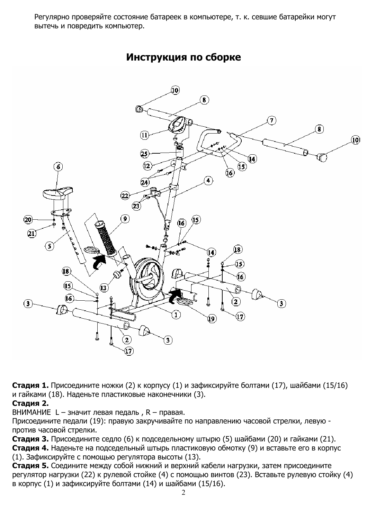Регулярно проверяйте состояние батареек в компьютере, т. к. севшие батарейки могут вытечь и повредить компьютер.



Инструкция по сборке

**Стадия 1.** Присоедините ножки (2) к корпусу (1) и зафиксируйте болтами (17), шайбами (15/16) и гайками (18). Наденьте пластиковые наконечники (3).

# Стадия 2.

ВНИМАНИЕ L - значит левая педаль, R - правая.

Присоедините педали (19): правую закручивайте по направлению часовой стрелки, левую против часовой стрелки.

Стадия 3. Присоедините седло (6) к подседельному штырю (5) шайбами (20) и гайками (21). Стадия 4. Наденьте на подседельный штырь пластиковую обмотку (9) и вставьте его в корпус (1). Зафиксируйте с помощью регулятора высоты (13).

Стадия 5. Соедините между собой нижний и верхний кабели нагрузки, затем присоедините регулятор нагрузки (22) к рулевой стойке (4) с помощью винтов (23). Вставьте рулевую стойку (4) в корпус (1) и зафиксируйте болтами (14) и шайбами (15/16).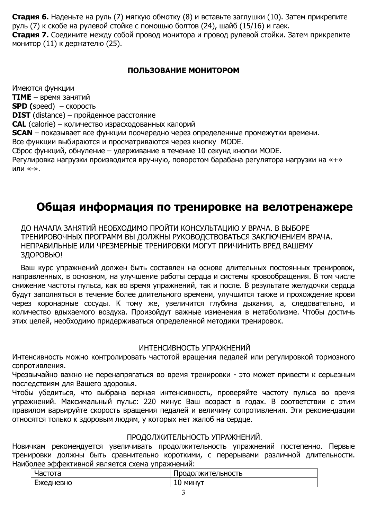Стадия 6. Наденьте на руль (7) мягкую обмотку (8) и вставьте заглушки (10). Затем прикрепите руль (7) к скобе на рулевой стойке с помощью болтов (24), шайб (15/16) и гаек.

Стадия 7. Соедините между собой провод монитора и провод рулевой стойки. Затем прикрепите монитор (11) к держателю (25).

# ПОЛЬЗОВАНИЕ МОНИТОРОМ

Имеются функции **TIME** - время занятий  $SPD$  (speed) – скорость **DIST** (distance) - пройденное расстояние **CAL** (calorie) - количество израсходованных калорий **SCAN** - показывает все функции поочередно через определенные промежутки времени. Все функции выбираются и просматриваются через кнопку МОDE. Сброс функций, обнуление - удерживание в течение 10 секунд кнопки MODE. Регулировка нагрузки производится вручную, поворотом барабана регулятора нагрузки на «+» или «-».

# Общая информация по тренировке на велотренажере

ДО НАЧАЛА ЗАНЯТИЙ НЕОБХОДИМО ПРОЙТИ КОНСУЛЬТАЦИЮ У ВРАЧА. В ВЫБОРЕ ТРЕНИРОВОЧНЫХ ПРОГРАММ ВЫ ДОЛЖНЫ РУКОВОДСТВОВАТЬСЯ ЗАКЛЮЧЕНИЕМ ВРАЧА. НЕПРАВИЛЬНЫЕ ИЛИ ЧРЕЗМЕРНЫЕ ТРЕНИРОВКИ МОГУТ ПРИЧИНИТЬ ВРЕД ВАШЕМУ ЗДОРОВЬЮ!

Ваш курс упражнений должен быть составлен на основе длительных постоянных тренировок, направленных, в основном, на улучшение работы сердца и системы кровообращения. В том числе снижение частоты пульса, как во время упражнений, так и после. В результате желудочки сердца будут заполняться в течение более длительного времени, улучшится также и прохождение крови через коронарные сосуды. К тому же, увеличится глубина дыхания, а, следовательно, и количество вдыхаемого воздуха. Произойдут важные изменения в метаболизме. Чтобы достичь этих целей, необходимо придерживаться определенной методики тренировок.

## ИНТЕНСИВНОСТЬ УПРАЖНЕНИЙ

Интенсивность можно контролировать частотой вращения педалей или регулировкой тормозного сопротивления.

Чрезвычайно важно не перенапрягаться во время тренировки - это может привести к серьезным последствиям для Вашего здоровья.

Чтобы убедиться, что выбрана верная интенсивность, проверяйте частоту пульса во время упражнений. Максимальный пульс: 220 минус Ваш возраст в годах. В соответствии с этим правилом варьируйте скорость вращения педалей и величину сопротивления. Эти рекомендации относятся только к здоровым людям, у которых нет жалоб на сердце.

## ПРОДОЛЖИТЕЛЬНОСТЬ УПРАЖНЕНИЙ.

Новичкам рекомендуется увеличивать продолжительность упражнений постепенно. Первые тренировки должны быть сравнительно короткими, с перерывами различной длительности. Наиболее эффективной является схема упражнений:

| nacioia   | <b>Іродолжительность</b> |
|-----------|--------------------------|
| Ежедневно | минут<br>ΙU              |